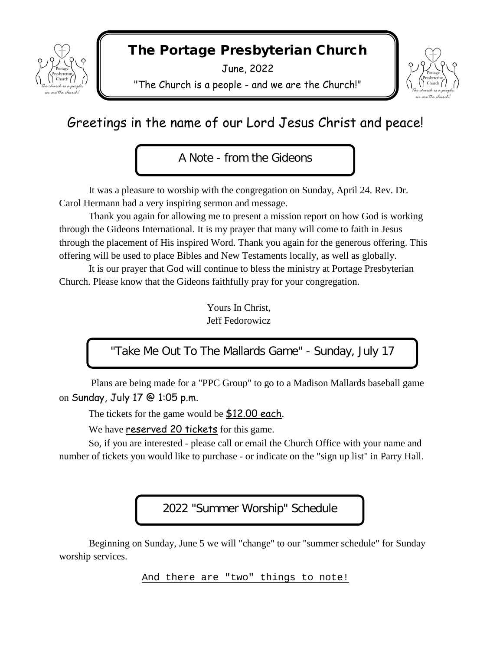

# The Portage Presbyterian Church

June, 2022

"The Church is a people - and we are the Church!"



# Greetings in the name of our Lord Jesus Christ and peace!

A Note - from the Gideons

It was a pleasure to worship with the congregation on Sunday, April 24. Rev. Dr. Carol Hermann had a very inspiring sermon and message.

Thank you again for allowing me to present a mission report on how God is working through the Gideons International. It is my prayer that many will come to faith in Jesus through the placement of His inspired Word. Thank you again for the generous offering. This offering will be used to place Bibles and New Testaments locally, as well as globally.

It is our prayer that God will continue to bless the ministry at Portage Presbyterian Church. Please know that the Gideons faithfully pray for your congregation.

> Yours In Christ, Jeff Fedorowicz

"Take Me Out To The Mallards Game" - Sunday, July 17

Plans are being made for a "PPC Group" to go to a Madison Mallards baseball game on Sunday, July 17 @ 1:05 p.m.

The tickets for the game would be \$12.00 each.

We have reserved 20 tickets for this game.

So, if you are interested - please call or email the Church Office with your name and number of tickets you would like to purchase - or indicate on the "sign up list" in Parry Hall.

2022 "Summer Worship" Schedule

Beginning on Sunday, June 5 we will "change" to our "summer schedule" for Sunday worship services.

And there are "two" things to note!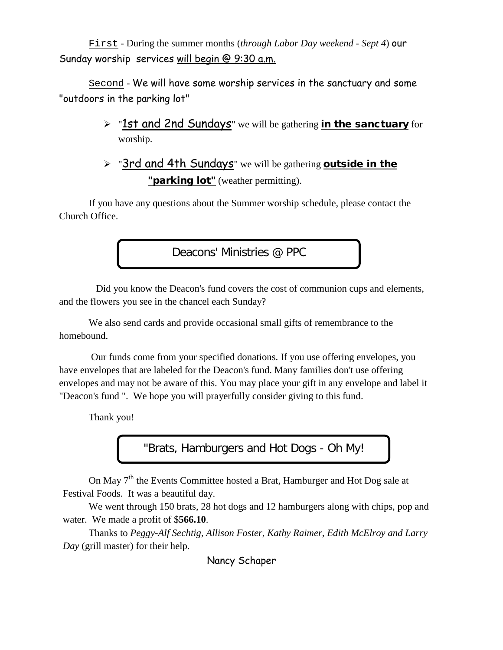First - During the summer months (*through Labor Day weekend - Sept 4*) our Sunday worship services will begin @ 9:30 a.m.

Second - We will have some worship services in the sanctuary and some "outdoors in the parking lot"

- > "1st and 2nd Sundays" we will be gathering *in the sanctuary* for worship.
- > "3rd and 4th Sundays" we will be gathering outside in the "**parking lot**" (weather permitting).

If you have any questions about the Summer worship schedule, please contact the Church Office.

Deacons' Ministries @ PPC

Did you know the Deacon's fund covers the cost of communion cups and elements, and the flowers you see in the chancel each Sunday?

We also send cards and provide occasional small gifts of remembrance to the homebound.

Our funds come from your specified donations. If you use offering envelopes, you have envelopes that are labeled for the Deacon's fund. Many families don't use offering envelopes and may not be aware of this. You may place your gift in any envelope and label it "Deacon's fund ". We hope you will prayerfully consider giving to this fund.

Thank you!

"Brats, Hamburgers and Hot Dogs - Oh My!

On May  $7<sup>th</sup>$  the Events Committee hosted a Brat, Hamburger and Hot Dog sale at Festival Foods. It was a beautiful day.

We went through 150 brats, 28 hot dogs and 12 hamburgers along with chips, pop and water. We made a profit of \$**566.10**.

Thanks to *Peggy-Alf Sechtig, Allison Foster, Kathy Raimer, Edith McElroy and Larry Day* (grill master) for their help.

Nancy Schaper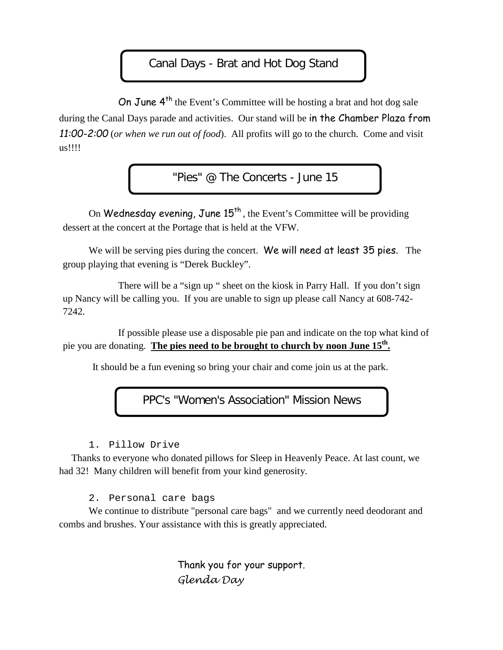### Canal Days - Brat and Hot Dog Stand

On June 4<sup>th</sup> the Event's Committee will be hosting a brat and hot dog sale during the Canal Days parade and activities. Our stand will be in the Chamber Plaza from *11:00-2:00* (*or when we run out of food*). All profits will go to the church. Come and visit us!!!!

"Pies" @ The Concerts - June 15

On Wednesday evening, June  $15<sup>th</sup>$ , the Event's Committee will be providing dessert at the concert at the Portage that is held at the VFW.

We will be serving pies during the concert. We will need at least 35 pies. The group playing that evening is "Derek Buckley".

There will be a "sign up " sheet on the kiosk in Parry Hall. If you don't sign up Nancy will be calling you. If you are unable to sign up please call Nancy at 608-742- 7242.

 If possible please use a disposable pie pan and indicate on the top what kind of pie you are donating. **The pies need to be brought to church by noon June 15th.** 

It should be a fun evening so bring your chair and come join us at the park.

PPC's "Women's Association" Mission News

1. Pillow Drive

Thanks to everyone who donated pillows for Sleep in Heavenly Peace. At last count, we had 32! Many children will benefit from your kind generosity.

2. Personal care bags

We continue to distribute "personal care bags" and we currently need deodorant and combs and brushes. Your assistance with this is greatly appreciated.

> Thank you for your support. *Glenda Day*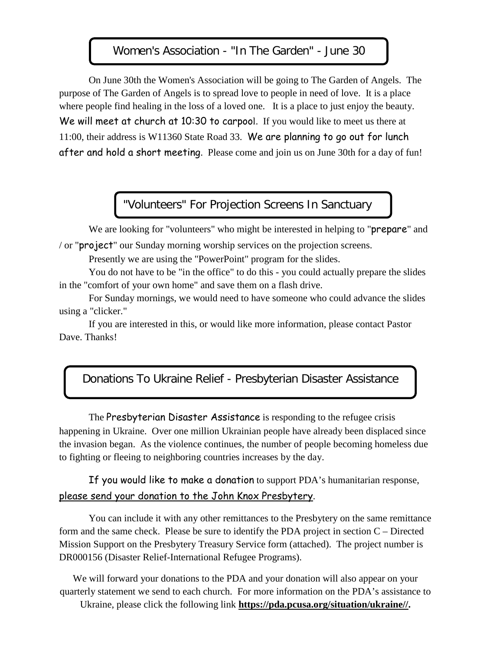#### Women's Association - "In The Garden" - June 30

On June 30th the Women's Association will be going to The Garden of Angels. The purpose of The Garden of Angels is to spread love to people in need of love. It is a place where people find healing in the loss of a loved one. It is a place to just enjoy the beauty. We will meet at church at 10:30 to carpool. If you would like to meet us there at 11:00, their address is W11360 State Road 33. We are planning to go out for lunch after and hold a short meeting. Please come and join us on June 30th for a day of fun!

# "Volunteers" For Projection Screens In Sanctuary

We are looking for "volunteers" who might be interested in helping to "**prepare**" and / or "project" our Sunday morning worship services on the projection screens.

Presently we are using the "PowerPoint" program for the slides.

You do not have to be "in the office" to do this - you could actually prepare the slides in the "comfort of your own home" and save them on a flash drive.

For Sunday mornings, we would need to have someone who could advance the slides using a "clicker."

If you are interested in this, or would like more information, please contact Pastor Dave. Thanks!

#### Donations To Ukraine Relief - Presbyterian Disaster Assistance

The Presbyterian Disaster Assistance is responding to the refugee crisis happening in Ukraine. Over one million Ukrainian people have already been displaced since the invasion began. As the violence continues, the number of people becoming homeless due to fighting or fleeing to neighboring countries increases by the day.

If you would like to make a donation to support PDA's humanitarian response, please send your donation to the John Knox Presbytery.

You can include it with any other remittances to the Presbytery on the same remittance form and the same check. Please be sure to identify the PDA project in section  $C -$  Directed Mission Support on the Presbytery Treasury Service form (attached). The project number is DR000156 (Disaster Relief-International Refugee Programs).

We will forward your donations to the PDA and your donation will also appear on your quarterly statement we send to each church. For more information on the PDA's assistance to

Ukraine, please click the following link **[https://pda.pcusa.org/situation/ukraine//.](https://pda.pcusa.org/situation/ukraine/)**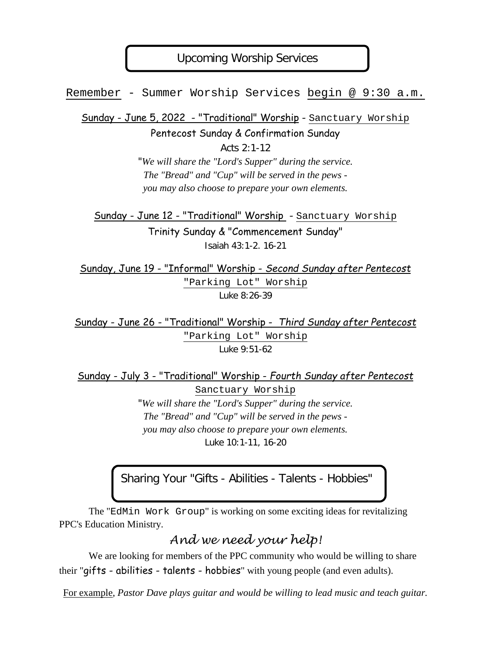### Upcoming Worship Services

Remember - Summer Worship Services begin @ 9:30 a.m.

Sunday - June 5, 2022 - "Traditional" Worship - Sanctuary Worship

Pentecost Sunday & Confirmation Sunday

Acts 2:1-12 "*We will share the "Lord's Supper" during the service. The "Bread" and "Cup" will be served in the pews -* 

*you may also choose to prepare your own elements.*

Sunday - June 12 - "Traditional" Worship - Sanctuary Worship Trinity Sunday & "Commencement Sunday" Isaiah 43:1-2. 16-21

Sunday, June 19 - "Informal" Worship - *Second Sunday after Pentecost* "Parking Lot" Worship Luke 8:26-39

Sunday - June 26 - "Traditional" Worship - *Third Sunday after Pentecost* "Parking Lot" Worship Luke 9:51-62

Sunday - July 3 - "Traditional" Worship - *Fourth Sunday after Pentecost*

Sanctuary Worship "*We will share the "Lord's Supper" during the service. The "Bread" and "Cup" will be served in the pews you may also choose to prepare your own elements.* Luke 10:1-11, 16-20

Sharing Your "Gifts - Abilities - Talents - Hobbies"

The "EdMin Work Group" is working on some exciting ideas for revitalizing PPC's Education Ministry.

*And we need your help!*

We are looking for members of the PPC community who would be willing to share their "gifts - abilities - talents - hobbies" with young people (and even adults).

For example, *Pastor Dave plays guitar and would be willing to lead music and teach guitar.*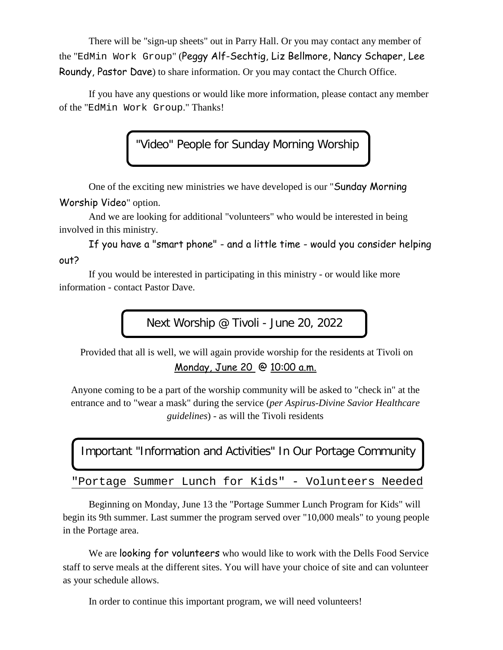There will be "sign-up sheets" out in Parry Hall. Or you may contact any member of the "EdMin Work Group" (Peggy Alf-Sechtig, Liz Bellmore, Nancy Schaper, Lee Roundy, Pastor Dave) to share information. Or you may contact the Church Office.

If you have any questions or would like more information, please contact any member of the "EdMin Work Group." Thanks!

"Video" People for Sunday Morning Worship

One of the exciting new ministries we have developed is our "Sunday Morning Worship Video" option.

And we are looking for additional "volunteers" who would be interested in being involved in this ministry.

If you have a "smart phone" - and a little time - would you consider helping out?

If you would be interested in participating in this ministry - or would like more information - contact Pastor Dave.

Next Worship @ Tivoli - June 20, 2022

Provided that all is well, we will again provide worship for the residents at Tivoli on Monday, June 20 @ 10:00 a.m.

Anyone coming to be a part of the worship community will be asked to "check in" at the entrance and to "wear a mask" during the service (*per Aspirus-Divine Savior Healthcare guidelines*) - as will the Tivoli residents

Important "Information and Activities" In Our Portage Community

"Portage Summer Lunch for Kids" - Volunteers Needed

Beginning on Monday, June 13 the "Portage Summer Lunch Program for Kids" will begin its 9th summer. Last summer the program served over "10,000 meals" to young people in the Portage area.

We are looking for volunteers who would like to work with the Dells Food Service staff to serve meals at the different sites. You will have your choice of site and can volunteer as your schedule allows.

In order to continue this important program, we will need volunteers!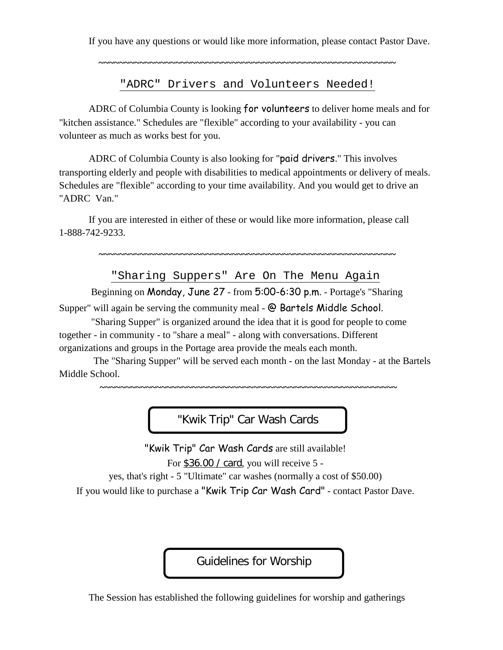If you have any questions or would like more information, please contact Pastor Dave.

**~~~~~~~~~~~~~~~~~~~~~~~~~~~~~~~~~~~~~~~~~~~~~~~~~~~~~~~~~~**

"ADRC" Drivers and Volunteers Needed!

ADRC of Columbia County is looking for volunteers to deliver home meals and for "kitchen assistance." Schedules are "flexible" according to your availability - you can volunteer as much as works best for you.

ADRC of Columbia County is also looking for "paid drivers." This involves transporting elderly and people with disabilities to medical appointments or delivery of meals. Schedules are "flexible" according to your time availability. And you would get to drive an "ADRC Van."

If you are interested in either of these or would like more information, please call 1-888-742-9233.

**~~~~~~~~~~~~~~~~~~~~~~~~~~~~~~~~~~~~~~~~~~~~~~~~~~~~~~~~~~**

"Sharing Suppers" Are On The Menu Again

Beginning on Monday, June 27 - from 5:00-6:30 p.m. - Portage's "Sharing

Supper" will again be serving the community meal - @ Bartels Middle School.

 "Sharing Supper" is organized around the idea that it is good for people to come together - in community - to "share a meal" - along with conversations. Different organizations and groups in the Portage area provide the meals each month.

 The "Sharing Supper" will be served each month - on the last Monday - at the Bartels Middle School.

**~~~~~~~~~~~~~~~~~~~~~~~~~~~~~~~~~~~~~~~~~~~~~~~~~~~~~~~~~~**

"Kwik Trip" Car Wash Cards

"Kwik Trip" Car Wash Cards are still available! For \$36.00 / card, you will receive 5 -

yes, that's right - 5 "Ultimate" car washes (normally a cost of \$50.00)

If you would like to purchase a "Kwik Trip Car Wash Card" - contact Pastor Dave.

Guidelines for Worship

The Session has established the following guidelines for worship and gatherings